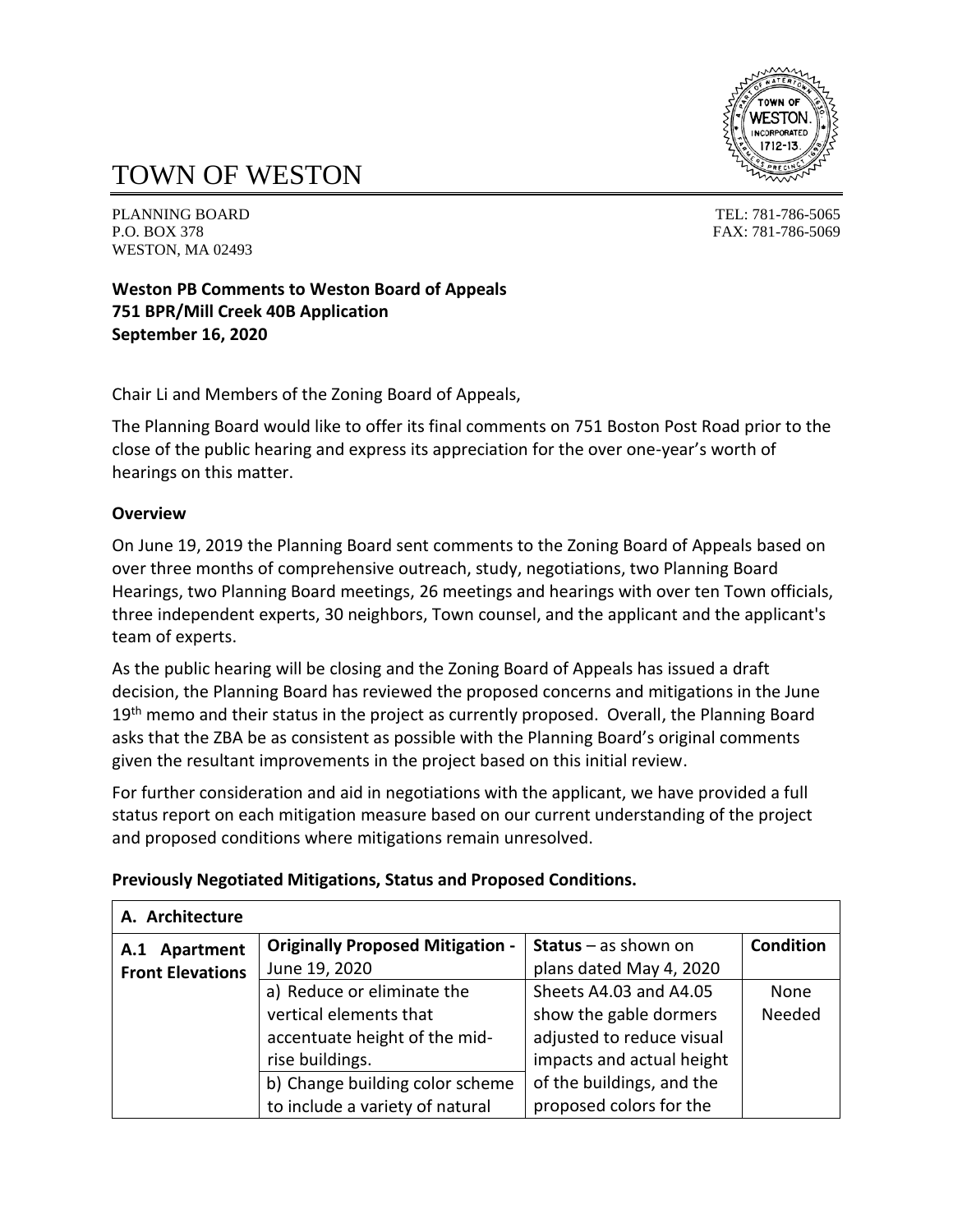

# TOWN OF WESTON

PLANNING BOARD TEL: 781-786-5065 P.O. BOX 378 FAX: 781-786-5069 WESTON, MA 02493

**Weston PB Comments to Weston Board of Appeals 751 BPR/Mill Creek 40B Application September 16, 2020**

Chair Li and Members of the Zoning Board of Appeals,

The Planning Board would like to offer its final comments on 751 Boston Post Road prior to the close of the public hearing and express its appreciation for the over one-year's worth of hearings on this matter.

#### **Overview**

On June 19, 2019 the Planning Board sent comments to the Zoning Board of Appeals based on over three months of comprehensive outreach, study, negotiations, two Planning Board Hearings, two Planning Board meetings, 26 meetings and hearings with over ten Town officials, three independent experts, 30 neighbors, Town counsel, and the applicant and the applicant's team of experts.

As the public hearing will be closing and the Zoning Board of Appeals has issued a draft decision, the Planning Board has reviewed the proposed concerns and mitigations in the June 19<sup>th</sup> memo and their status in the project as currently proposed. Overall, the Planning Board asks that the ZBA be as consistent as possible with the Planning Board's original comments given the resultant improvements in the project based on this initial review.

For further consideration and aid in negotiations with the applicant, we have provided a full status report on each mitigation measure based on our current understanding of the project and proposed conditions where mitigations remain unresolved.

#### **Previously Negotiated Mitigations, Status and Proposed Conditions.**

| A. Architecture         |                                         |                               |                  |
|-------------------------|-----------------------------------------|-------------------------------|------------------|
| Apartment<br>A.1        | <b>Originally Proposed Mitigation -</b> | <b>Status</b> $-$ as shown on | <b>Condition</b> |
| <b>Front Elevations</b> | June 19, 2020                           | plans dated May 4, 2020       |                  |
|                         | a) Reduce or eliminate the              | Sheets A4.03 and A4.05        | None             |
|                         | vertical elements that                  | show the gable dormers        | Needed           |
|                         | accentuate height of the mid-           | adjusted to reduce visual     |                  |
|                         | rise buildings.                         | impacts and actual height     |                  |
|                         | b) Change building color scheme         | of the buildings, and the     |                  |
|                         | to include a variety of natural         | proposed colors for the       |                  |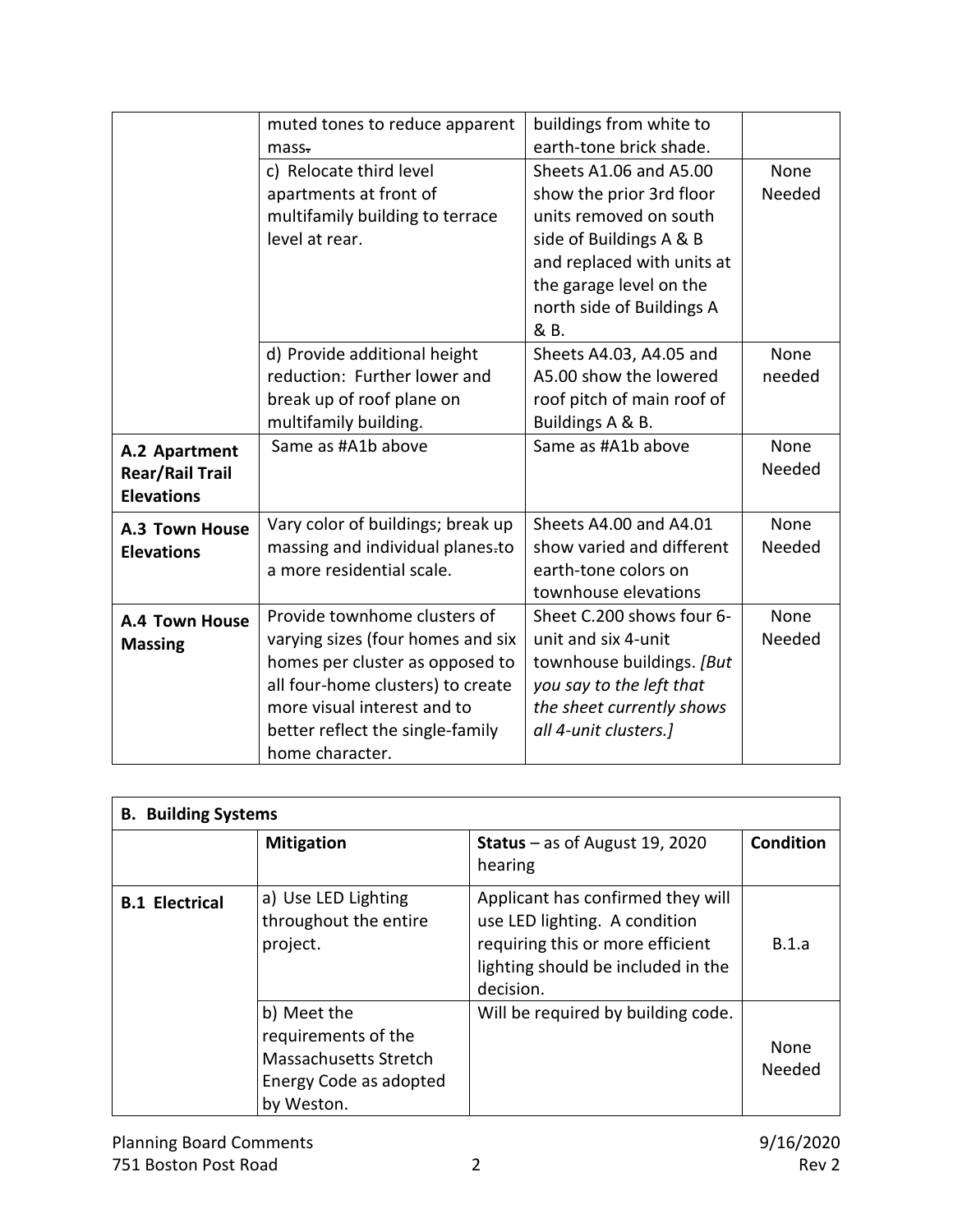|                        | muted tones to reduce apparent    | buildings from white to    |        |
|------------------------|-----------------------------------|----------------------------|--------|
|                        | mass <sub>z</sub>                 | earth-tone brick shade.    |        |
|                        | c) Relocate third level           | Sheets A1.06 and A5.00     | None   |
|                        | apartments at front of            | show the prior 3rd floor   | Needed |
|                        | multifamily building to terrace   | units removed on south     |        |
|                        | level at rear.                    | side of Buildings A & B    |        |
|                        |                                   | and replaced with units at |        |
|                        |                                   | the garage level on the    |        |
|                        |                                   | north side of Buildings A  |        |
|                        |                                   | & B.                       |        |
|                        | d) Provide additional height      | Sheets A4.03, A4.05 and    | None   |
|                        | reduction: Further lower and      | A5.00 show the lowered     | needed |
|                        | break up of roof plane on         | roof pitch of main roof of |        |
|                        | multifamily building.             | Buildings A & B.           |        |
| A.2 Apartment          | Same as #A1b above                | Same as #A1b above         | None   |
| <b>Rear/Rail Trail</b> |                                   |                            | Needed |
| <b>Elevations</b>      |                                   |                            |        |
| A.3 Town House         | Vary color of buildings; break up | Sheets A4.00 and A4.01     | None   |
| <b>Elevations</b>      | massing and individual planes-to  | show varied and different  | Needed |
|                        | a more residential scale.         | earth-tone colors on       |        |
|                        |                                   | townhouse elevations       |        |
| A.4 Town House         | Provide townhome clusters of      | Sheet C.200 shows four 6-  | None   |
| <b>Massing</b>         | varying sizes (four homes and six | unit and six 4-unit        | Needed |
|                        | homes per cluster as opposed to   | townhouse buildings. [But  |        |
|                        | all four-home clusters) to create | you say to the left that   |        |
|                        | more visual interest and to       | the sheet currently shows  |        |
|                        | better reflect the single-family  | all 4-unit clusters.]      |        |
|                        | home character.                   |                            |        |

| <b>B.</b> Building Systems |                                                                                                            |                                                                                                                                                           |                       |
|----------------------------|------------------------------------------------------------------------------------------------------------|-----------------------------------------------------------------------------------------------------------------------------------------------------------|-----------------------|
|                            | <b>Mitigation</b>                                                                                          | <b>Status</b> – as of August 19, 2020<br>hearing                                                                                                          | <b>Condition</b>      |
| <b>B.1 Electrical</b>      | a) Use LED Lighting<br>throughout the entire<br>project.                                                   | Applicant has confirmed they will<br>use LED lighting. A condition<br>requiring this or more efficient<br>lighting should be included in the<br>decision. | B.1.a                 |
|                            | b) Meet the<br>requirements of the<br><b>Massachusetts Stretch</b><br>Energy Code as adopted<br>by Weston. | Will be required by building code.                                                                                                                        | <b>None</b><br>Needed |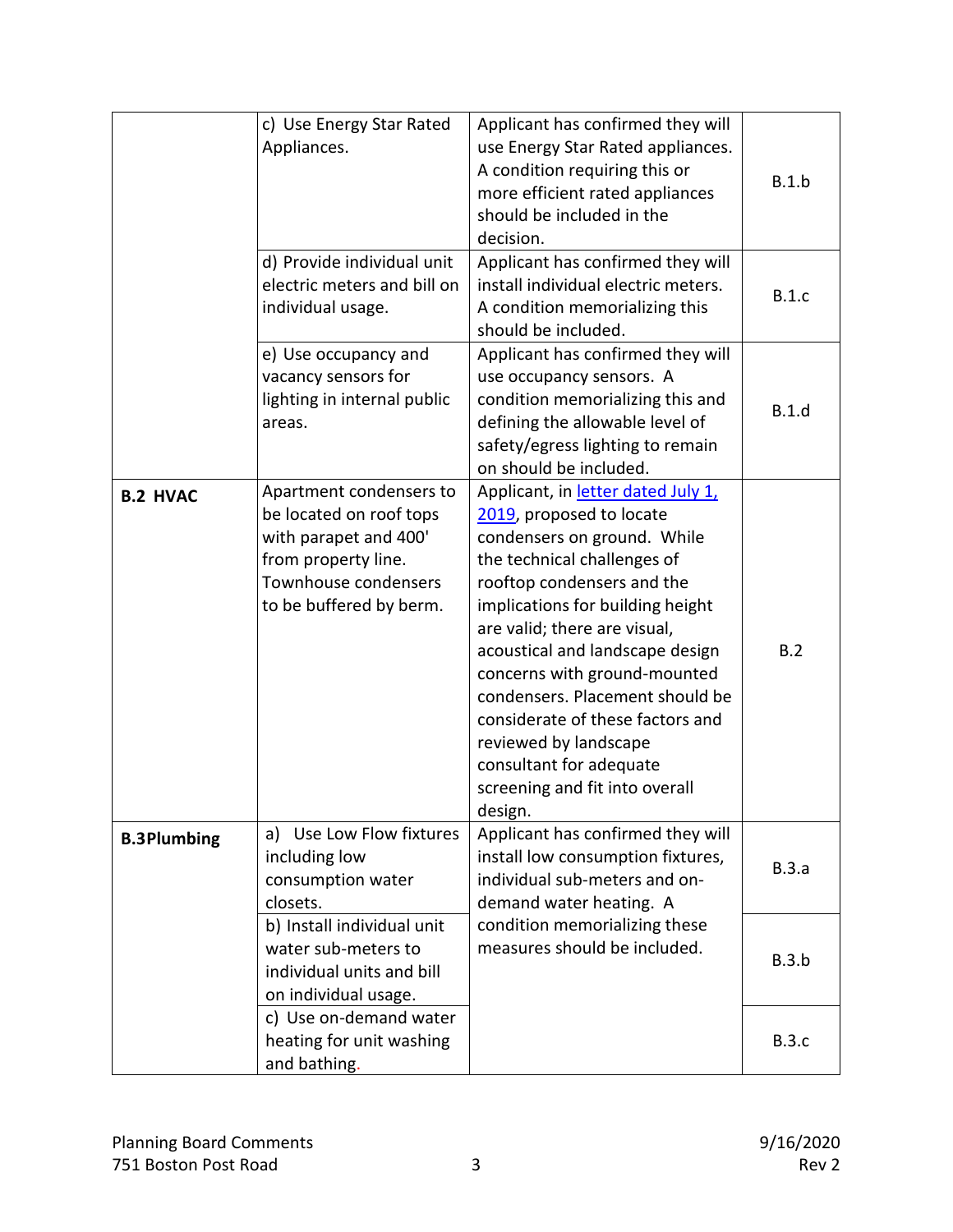|                    | c) Use Energy Star Rated<br>Appliances.                                                                                                               | Applicant has confirmed they will<br>use Energy Star Rated appliances.<br>A condition requiring this or<br>more efficient rated appliances<br>should be included in the<br>decision.                                                                                                                                                                                                                                                                                      | B.1.b        |
|--------------------|-------------------------------------------------------------------------------------------------------------------------------------------------------|---------------------------------------------------------------------------------------------------------------------------------------------------------------------------------------------------------------------------------------------------------------------------------------------------------------------------------------------------------------------------------------------------------------------------------------------------------------------------|--------------|
|                    | d) Provide individual unit<br>electric meters and bill on<br>individual usage.                                                                        | Applicant has confirmed they will<br>install individual electric meters.<br>A condition memorializing this<br>should be included.                                                                                                                                                                                                                                                                                                                                         | B.1.c        |
|                    | e) Use occupancy and<br>vacancy sensors for<br>lighting in internal public<br>areas.                                                                  | Applicant has confirmed they will<br>use occupancy sensors. A<br>condition memorializing this and<br>defining the allowable level of<br>safety/egress lighting to remain<br>on should be included.                                                                                                                                                                                                                                                                        | B.1.d        |
| <b>B.2 HVAC</b>    | Apartment condensers to<br>be located on roof tops<br>with parapet and 400'<br>from property line.<br>Townhouse condensers<br>to be buffered by berm. | Applicant, in letter dated July 1,<br>2019, proposed to locate<br>condensers on ground. While<br>the technical challenges of<br>rooftop condensers and the<br>implications for building height<br>are valid; there are visual,<br>acoustical and landscape design<br>concerns with ground-mounted<br>condensers. Placement should be<br>considerate of these factors and<br>reviewed by landscape<br>consultant for adequate<br>screening and fit into overall<br>design. | B.2          |
| <b>B.3Plumbing</b> | a) Use Low Flow fixtures<br>including low<br>consumption water<br>closets.                                                                            | Applicant has confirmed they will<br>install low consumption fixtures,<br>individual sub-meters and on-<br>demand water heating. A                                                                                                                                                                                                                                                                                                                                        | B.3.a        |
|                    | b) Install individual unit<br>water sub-meters to<br>individual units and bill<br>on individual usage.                                                | condition memorializing these<br>measures should be included.                                                                                                                                                                                                                                                                                                                                                                                                             | B.3.b        |
|                    | c) Use on-demand water<br>heating for unit washing<br>and bathing.                                                                                    |                                                                                                                                                                                                                                                                                                                                                                                                                                                                           | <b>B.3.c</b> |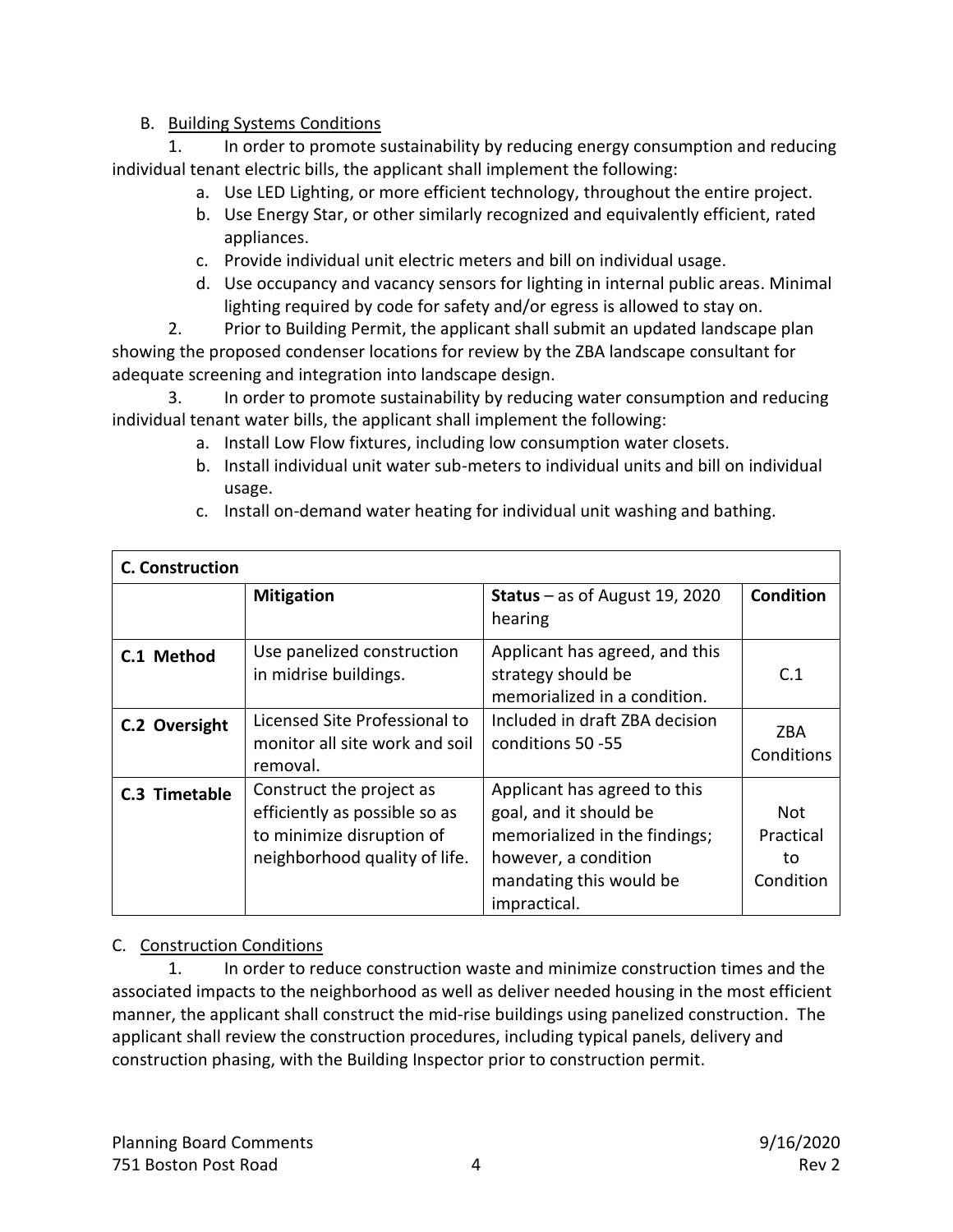## B. Building Systems Conditions

1. In order to promote sustainability by reducing energy consumption and reducing individual tenant electric bills, the applicant shall implement the following:

- a. Use LED Lighting, or more efficient technology, throughout the entire project.
- b. Use Energy Star, or other similarly recognized and equivalently efficient, rated appliances.
- c. Provide individual unit electric meters and bill on individual usage.
- d. Use occupancy and vacancy sensors for lighting in internal public areas. Minimal lighting required by code for safety and/or egress is allowed to stay on.
- 2. Prior to Building Permit, the applicant shall submit an updated landscape plan showing the proposed condenser locations for review by the ZBA landscape consultant for adequate screening and integration into landscape design.

3. In order to promote sustainability by reducing water consumption and reducing individual tenant water bills, the applicant shall implement the following:

- a. Install Low Flow fixtures, including low consumption water closets.
- b. Install individual unit water sub-meters to individual units and bill on individual usage.

| <b>C. Construction</b> |                                                                                                                         |                                                                                                                                                            |                                      |  |
|------------------------|-------------------------------------------------------------------------------------------------------------------------|------------------------------------------------------------------------------------------------------------------------------------------------------------|--------------------------------------|--|
|                        | <b>Mitigation</b>                                                                                                       | <b>Status</b> – as of August 19, 2020<br>hearing                                                                                                           | <b>Condition</b>                     |  |
| C.1 Method             | Use panelized construction<br>in midrise buildings.                                                                     | Applicant has agreed, and this<br>strategy should be<br>memorialized in a condition.                                                                       | C.1                                  |  |
| C.2 Oversight          | Licensed Site Professional to<br>monitor all site work and soil<br>removal.                                             | Included in draft ZBA decision<br>conditions 50 -55                                                                                                        | ZBA<br>Conditions                    |  |
| C.3 Timetable          | Construct the project as<br>efficiently as possible so as<br>to minimize disruption of<br>neighborhood quality of life. | Applicant has agreed to this<br>goal, and it should be<br>memorialized in the findings;<br>however, a condition<br>mandating this would be<br>impractical. | Not.<br>Practical<br>to<br>Condition |  |

c. Install on-demand water heating for individual unit washing and bathing.

# C. Construction Conditions

1. In order to reduce construction waste and minimize construction times and the associated impacts to the neighborhood as well as deliver needed housing in the most efficient manner, the applicant shall construct the mid-rise buildings using panelized construction. The applicant shall review the construction procedures, including typical panels, delivery and construction phasing, with the Building Inspector prior to construction permit.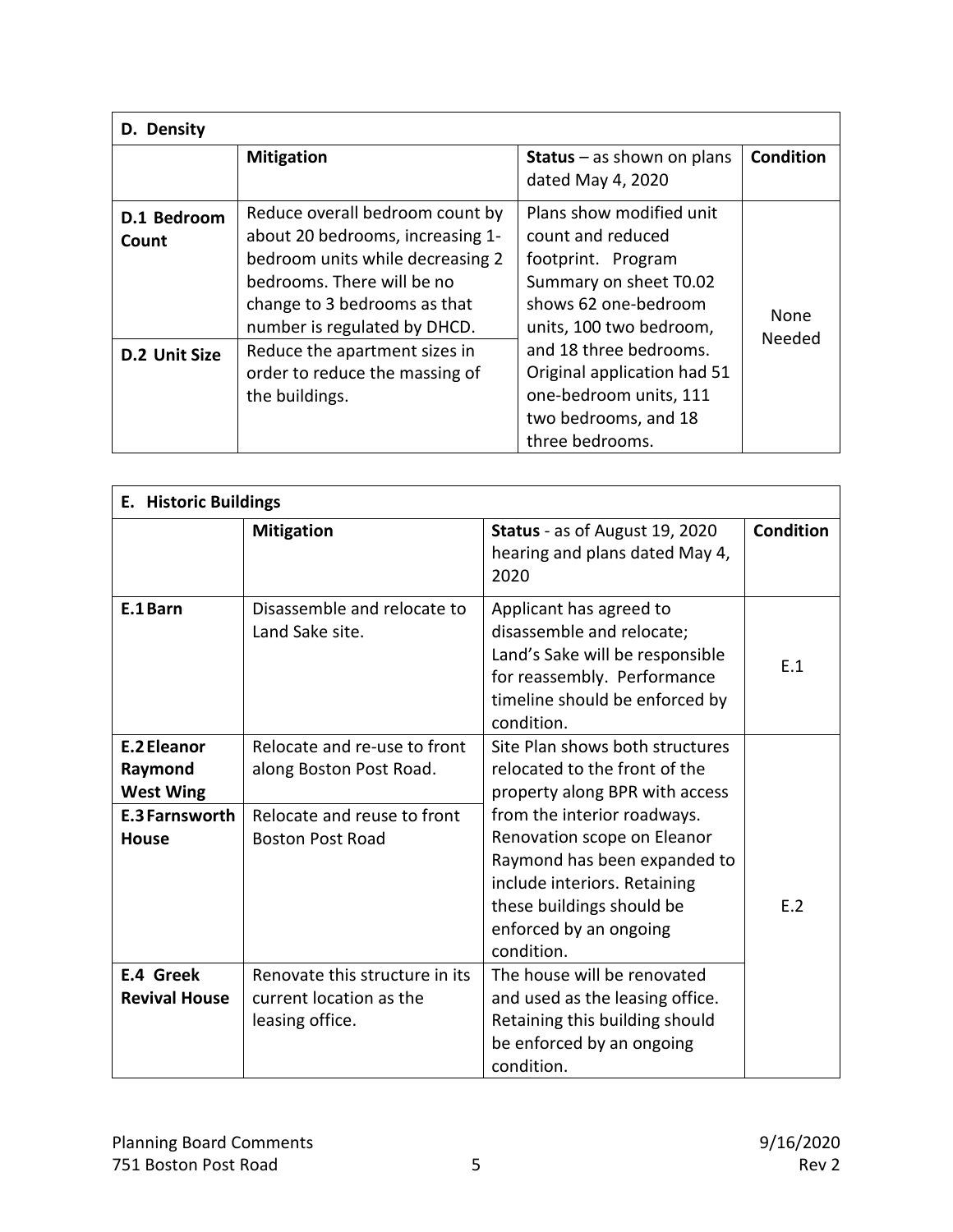| D. Density                            |                                                                                                                                                                                                                                                                                            |                                                                                                                                                                                                                                                                                |                  |  |
|---------------------------------------|--------------------------------------------------------------------------------------------------------------------------------------------------------------------------------------------------------------------------------------------------------------------------------------------|--------------------------------------------------------------------------------------------------------------------------------------------------------------------------------------------------------------------------------------------------------------------------------|------------------|--|
|                                       | <b>Mitigation</b>                                                                                                                                                                                                                                                                          | <b>Status</b> $-$ as shown on plans<br>dated May 4, 2020                                                                                                                                                                                                                       | <b>Condition</b> |  |
| D.1 Bedroom<br>Count<br>D.2 Unit Size | Reduce overall bedroom count by<br>about 20 bedrooms, increasing 1-<br>bedroom units while decreasing 2<br>bedrooms. There will be no<br>change to 3 bedrooms as that<br>number is regulated by DHCD.<br>Reduce the apartment sizes in<br>order to reduce the massing of<br>the buildings. | Plans show modified unit<br>count and reduced<br>footprint. Program<br>Summary on sheet T0.02<br>shows 62 one-bedroom<br>units, 100 two bedroom,<br>and 18 three bedrooms.<br>Original application had 51<br>one-bedroom units, 111<br>two bedrooms, and 18<br>three bedrooms. | None<br>Needed   |  |

| <b>E. Historic Buildings</b>                                                        |                                                                                                                   |                                                                                                                                                                                                                                                                                                       |                 |
|-------------------------------------------------------------------------------------|-------------------------------------------------------------------------------------------------------------------|-------------------------------------------------------------------------------------------------------------------------------------------------------------------------------------------------------------------------------------------------------------------------------------------------------|-----------------|
|                                                                                     | <b>Mitigation</b>                                                                                                 | Status - as of August 19, 2020<br>hearing and plans dated May 4,<br>2020                                                                                                                                                                                                                              | Condition       |
| E.1 Barn                                                                            | Disassemble and relocate to<br>Land Sake site.                                                                    | Applicant has agreed to<br>disassemble and relocate;<br>Land's Sake will be responsible<br>for reassembly. Performance<br>timeline should be enforced by<br>condition.                                                                                                                                | E.1             |
| E.2 Eleanor<br>Raymond<br><b>West Wing</b><br><b>E.3 Farnsworth</b><br><b>House</b> | Relocate and re-use to front<br>along Boston Post Road.<br>Relocate and reuse to front<br><b>Boston Post Road</b> | Site Plan shows both structures<br>relocated to the front of the<br>property along BPR with access<br>from the interior roadways.<br>Renovation scope on Eleanor<br>Raymond has been expanded to<br>include interiors. Retaining<br>these buildings should be<br>enforced by an ongoing<br>condition. | F. <sub>2</sub> |
| E.4 Greek<br><b>Revival House</b>                                                   | Renovate this structure in its<br>current location as the<br>leasing office.                                      | The house will be renovated<br>and used as the leasing office.<br>Retaining this building should<br>be enforced by an ongoing<br>condition.                                                                                                                                                           |                 |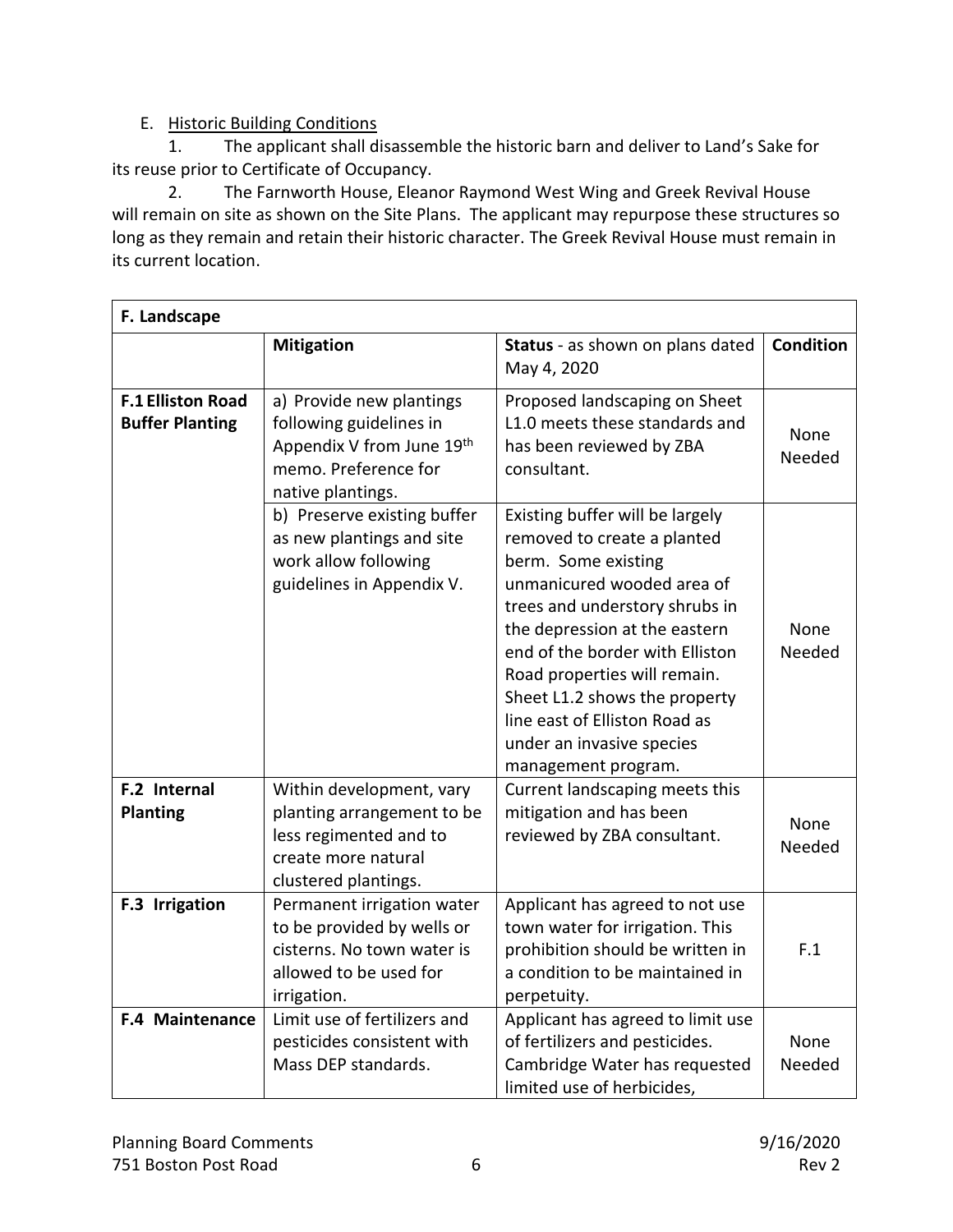# E. Historic Building Conditions

1. The applicant shall disassemble the historic barn and deliver to Land's Sake for its reuse prior to Certificate of Occupancy.

2. The Farnworth House, Eleanor Raymond West Wing and Greek Revival House will remain on site as shown on the Site Plans. The applicant may repurpose these structures so long as they remain and retain their historic character. The Greek Revival House must remain in its current location.

| F. Landscape                                       |                                                                                                                                 |                                                                                                                                                                                                                                                                                                                                                                                 |                  |
|----------------------------------------------------|---------------------------------------------------------------------------------------------------------------------------------|---------------------------------------------------------------------------------------------------------------------------------------------------------------------------------------------------------------------------------------------------------------------------------------------------------------------------------------------------------------------------------|------------------|
|                                                    | <b>Mitigation</b>                                                                                                               | Status - as shown on plans dated<br>May 4, 2020                                                                                                                                                                                                                                                                                                                                 | <b>Condition</b> |
| <b>F.1 Elliston Road</b><br><b>Buffer Planting</b> | a) Provide new plantings<br>following guidelines in<br>Appendix V from June 19th<br>memo. Preference for<br>native plantings.   | Proposed landscaping on Sheet<br>L1.0 meets these standards and<br>has been reviewed by ZBA<br>consultant.                                                                                                                                                                                                                                                                      | None<br>Needed   |
|                                                    | b) Preserve existing buffer<br>as new plantings and site<br>work allow following<br>guidelines in Appendix V.                   | Existing buffer will be largely<br>removed to create a planted<br>berm. Some existing<br>unmanicured wooded area of<br>trees and understory shrubs in<br>the depression at the eastern<br>end of the border with Elliston<br>Road properties will remain.<br>Sheet L1.2 shows the property<br>line east of Elliston Road as<br>under an invasive species<br>management program. | None<br>Needed   |
| F.2 Internal<br><b>Planting</b>                    | Within development, vary<br>planting arrangement to be<br>less regimented and to<br>create more natural<br>clustered plantings. | Current landscaping meets this<br>mitigation and has been<br>reviewed by ZBA consultant.                                                                                                                                                                                                                                                                                        | None<br>Needed   |
| F.3 Irrigation                                     | Permanent irrigation water<br>to be provided by wells or<br>cisterns. No town water is<br>allowed to be used for<br>irrigation. | Applicant has agreed to not use<br>town water for irrigation. This<br>prohibition should be written in<br>a condition to be maintained in<br>perpetuity.                                                                                                                                                                                                                        | F.1              |
| F.4 Maintenance                                    | Limit use of fertilizers and<br>pesticides consistent with<br>Mass DEP standards.                                               | Applicant has agreed to limit use<br>of fertilizers and pesticides.<br>Cambridge Water has requested<br>limited use of herbicides,                                                                                                                                                                                                                                              | None<br>Needed   |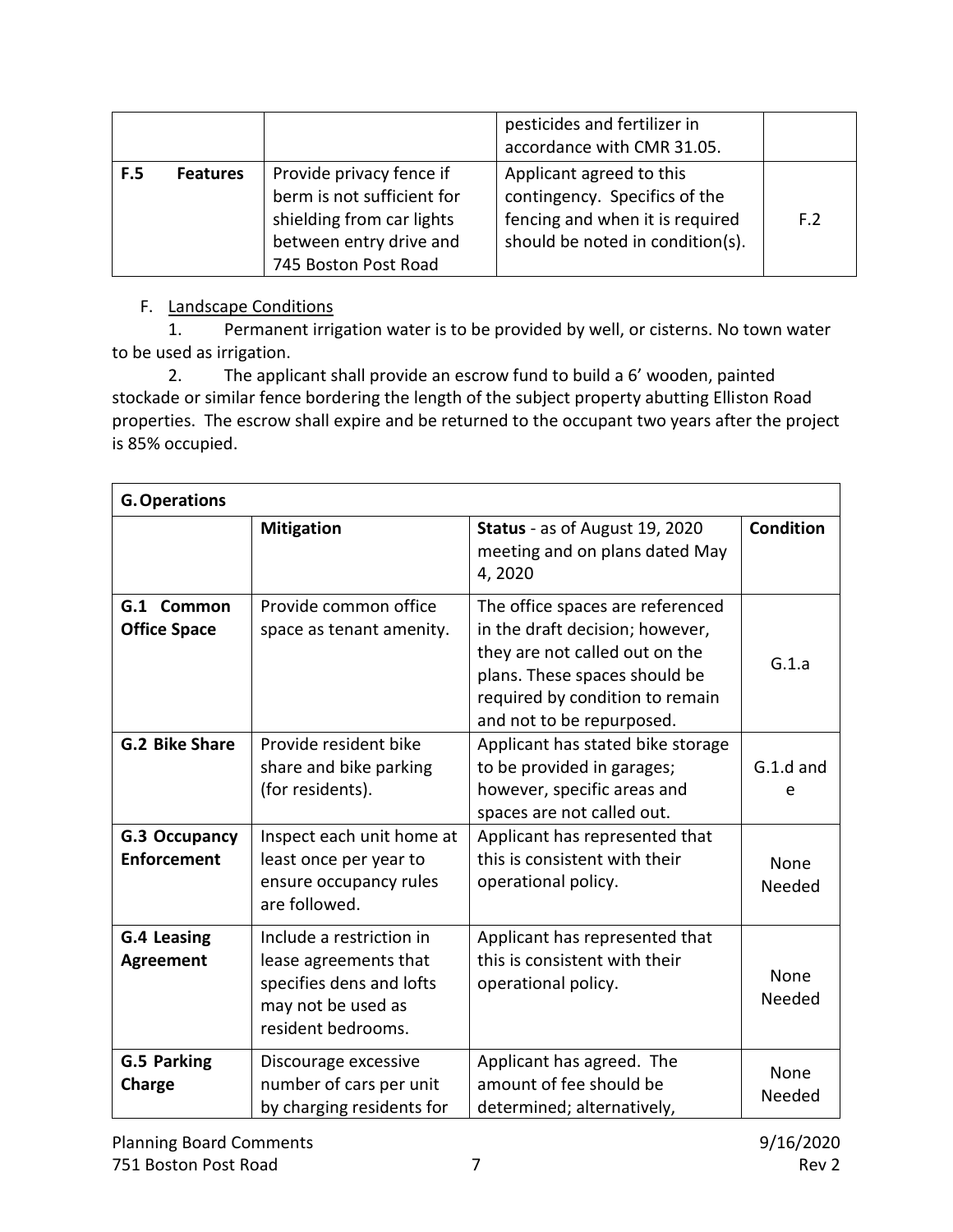|            |                 |                                                                                                                                        | pesticides and fertilizer in<br>accordance with CMR 31.05.                                                                       |     |
|------------|-----------------|----------------------------------------------------------------------------------------------------------------------------------------|----------------------------------------------------------------------------------------------------------------------------------|-----|
| <b>F.5</b> | <b>Features</b> | Provide privacy fence if<br>berm is not sufficient for<br>shielding from car lights<br>between entry drive and<br>745 Boston Post Road | Applicant agreed to this<br>contingency. Specifics of the<br>fencing and when it is required<br>should be noted in condition(s). | F.2 |

### F. Landscape Conditions

1. Permanent irrigation water is to be provided by well, or cisterns. No town water to be used as irrigation.

2. The applicant shall provide an escrow fund to build a 6' wooden, painted stockade or similar fence bordering the length of the subject property abutting Elliston Road properties. The escrow shall expire and be returned to the occupant two years after the project is 85% occupied.

| <b>G. Operations</b>                   |                                                                                                                           |                                                                                                                                                                                                        |                  |
|----------------------------------------|---------------------------------------------------------------------------------------------------------------------------|--------------------------------------------------------------------------------------------------------------------------------------------------------------------------------------------------------|------------------|
|                                        | <b>Mitigation</b>                                                                                                         | Status - as of August 19, 2020<br>meeting and on plans dated May<br>4,2020                                                                                                                             | <b>Condition</b> |
| Common<br>G.1<br><b>Office Space</b>   | Provide common office<br>space as tenant amenity.                                                                         | The office spaces are referenced<br>in the draft decision; however,<br>they are not called out on the<br>plans. These spaces should be<br>required by condition to remain<br>and not to be repurposed. | G.1.a            |
| <b>G.2 Bike Share</b>                  | Provide resident bike<br>share and bike parking<br>(for residents).                                                       | Applicant has stated bike storage<br>to be provided in garages;<br>however, specific areas and<br>spaces are not called out.                                                                           | $G.1.d$ and<br>e |
| G.3 Occupancy<br><b>Enforcement</b>    | Inspect each unit home at<br>least once per year to<br>ensure occupancy rules<br>are followed.                            | Applicant has represented that<br>this is consistent with their<br>operational policy.                                                                                                                 | None<br>Needed   |
| <b>G.4 Leasing</b><br><b>Agreement</b> | Include a restriction in<br>lease agreements that<br>specifies dens and lofts<br>may not be used as<br>resident bedrooms. | Applicant has represented that<br>this is consistent with their<br>operational policy.                                                                                                                 | None<br>Needed   |
| <b>G.5 Parking</b><br>Charge           | Discourage excessive<br>number of cars per unit<br>by charging residents for                                              | Applicant has agreed. The<br>amount of fee should be<br>determined; alternatively,                                                                                                                     | None<br>Needed   |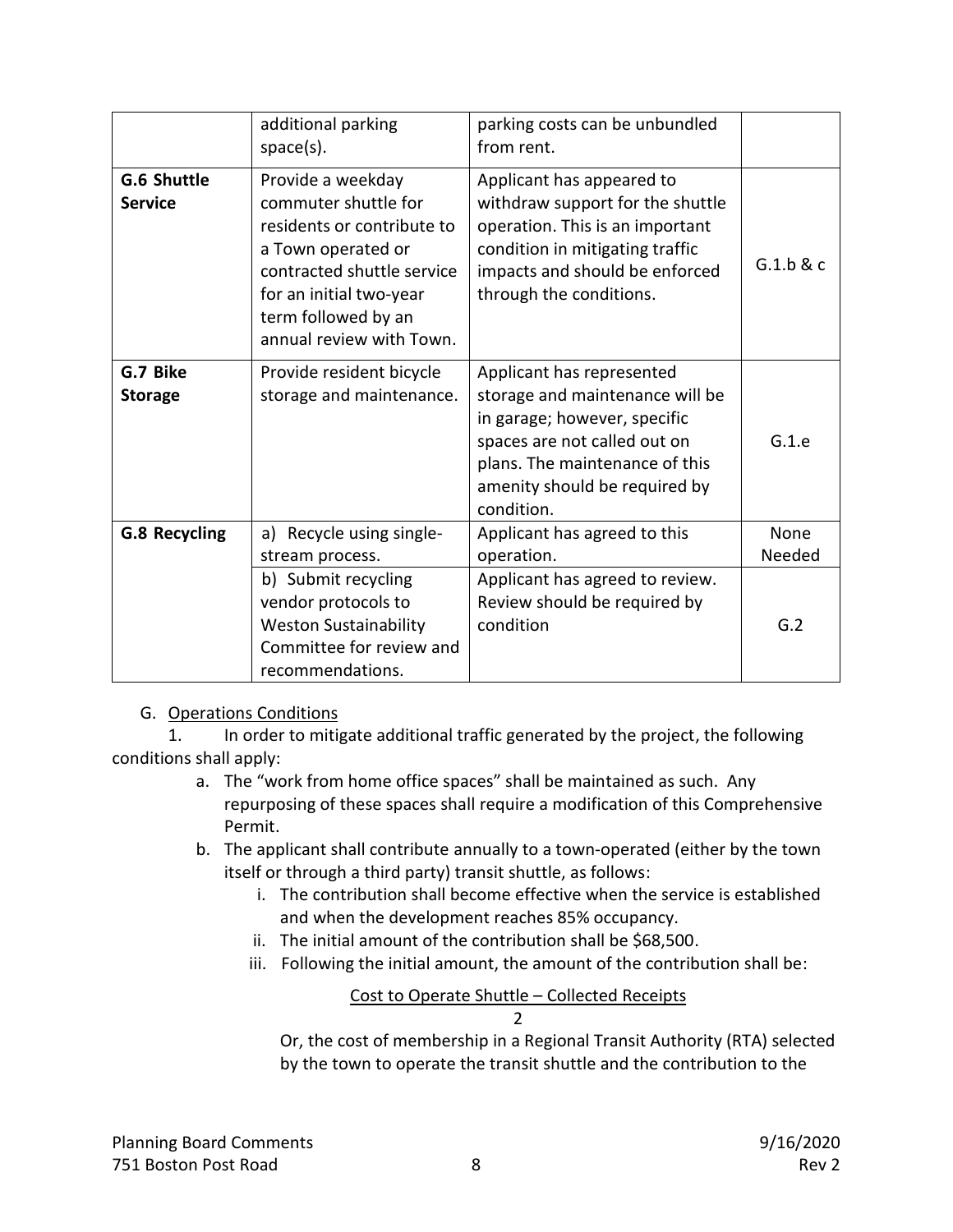|                               | additional parking<br>$space(s)$ .                                                                                                                                                                        | parking costs can be unbundled<br>from rent.                                                                                                                                                                  |                |
|-------------------------------|-----------------------------------------------------------------------------------------------------------------------------------------------------------------------------------------------------------|---------------------------------------------------------------------------------------------------------------------------------------------------------------------------------------------------------------|----------------|
| G.6 Shuttle<br><b>Service</b> | Provide a weekday<br>commuter shuttle for<br>residents or contribute to<br>a Town operated or<br>contracted shuttle service<br>for an initial two-year<br>term followed by an<br>annual review with Town. | Applicant has appeared to<br>withdraw support for the shuttle<br>operation. This is an important<br>condition in mitigating traffic<br>impacts and should be enforced<br>through the conditions.              | G.1.b & c      |
| G.7 Bike<br><b>Storage</b>    | Provide resident bicycle<br>storage and maintenance.                                                                                                                                                      | Applicant has represented<br>storage and maintenance will be<br>in garage; however, specific<br>spaces are not called out on<br>plans. The maintenance of this<br>amenity should be required by<br>condition. | G.1.e          |
| <b>G.8 Recycling</b>          | a) Recycle using single-<br>stream process.                                                                                                                                                               | Applicant has agreed to this<br>operation.                                                                                                                                                                    | None<br>Needed |
|                               | b) Submit recycling<br>vendor protocols to<br><b>Weston Sustainability</b><br>Committee for review and<br>recommendations.                                                                                | Applicant has agreed to review.<br>Review should be required by<br>condition                                                                                                                                  | G.2            |

#### G. Operations Conditions

1. In order to mitigate additional traffic generated by the project, the following conditions shall apply:

- a. The "work from home office spaces" shall be maintained as such. Any repurposing of these spaces shall require a modification of this Comprehensive Permit.
- b. The applicant shall contribute annually to a town-operated (either by the town itself or through a third party) transit shuttle, as follows:
	- i. The contribution shall become effective when the service is established and when the development reaches 85% occupancy.
	- ii. The initial amount of the contribution shall be \$68,500.
	- iii. Following the initial amount, the amount of the contribution shall be:

#### Cost to Operate Shuttle – Collected Receipts 2

Or, the cost of membership in a Regional Transit Authority (RTA) selected by the town to operate the transit shuttle and the contribution to the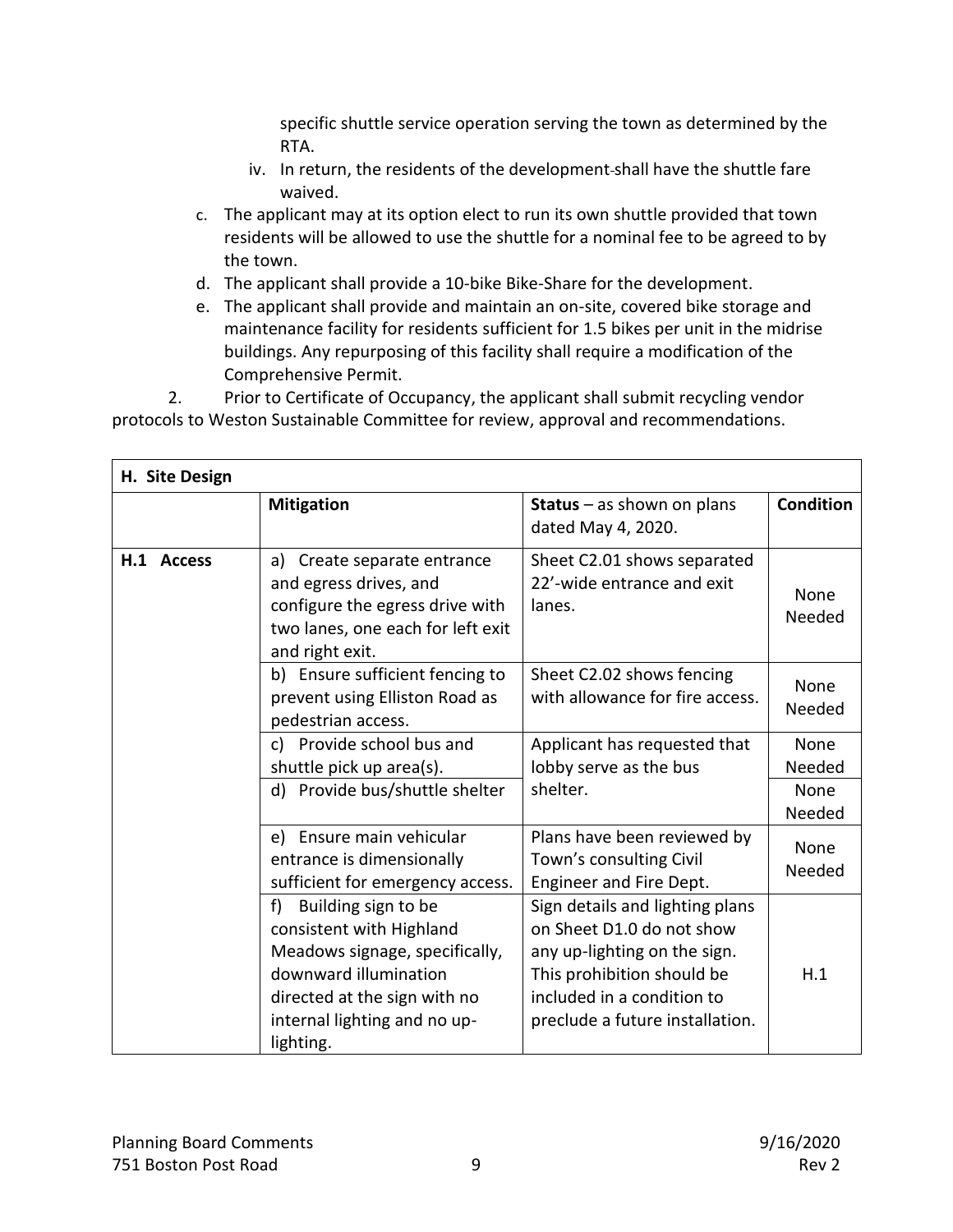specific shuttle service operation serving the town as determined by the RTA.

- iv. In return, the residents of the development shall have the shuttle fare waived.
- c. The applicant may at its option elect to run its own shuttle provided that town residents will be allowed to use the shuttle for a nominal fee to be agreed to by the town.
- d. The applicant shall provide a 10-bike Bike-Share for the development.
- e. The applicant shall provide and maintain an on-site, covered bike storage and maintenance facility for residents sufficient for 1.5 bikes per unit in the midrise buildings. Any repurposing of this facility shall require a modification of the Comprehensive Permit.

2. Prior to Certificate of Occupancy, the applicant shall submit recycling vendor protocols to Weston Sustainable Committee for review, approval and recommendations.

| H. Site Design |                                                                                                                                                                                               |                                                                                                                                                                                             |                        |
|----------------|-----------------------------------------------------------------------------------------------------------------------------------------------------------------------------------------------|---------------------------------------------------------------------------------------------------------------------------------------------------------------------------------------------|------------------------|
|                | <b>Mitigation</b>                                                                                                                                                                             | <b>Status</b> $-$ as shown on plans<br>dated May 4, 2020.                                                                                                                                   | <b>Condition</b>       |
| H.1 Access     | Create separate entrance<br>a)<br>and egress drives, and<br>configure the egress drive with<br>two lanes, one each for left exit<br>and right exit.                                           | Sheet C2.01 shows separated<br>22'-wide entrance and exit<br>lanes.                                                                                                                         | None<br>Needed         |
|                | b) Ensure sufficient fencing to<br>prevent using Elliston Road as<br>pedestrian access.                                                                                                       | Sheet C2.02 shows fencing<br>with allowance for fire access.                                                                                                                                | None<br>Needed         |
|                | c) Provide school bus and<br>shuttle pick up area(s).<br>d) Provide bus/shuttle shelter                                                                                                       | Applicant has requested that<br>lobby serve as the bus<br>shelter.                                                                                                                          | None<br>Needed<br>None |
|                | e) Ensure main vehicular                                                                                                                                                                      | Plans have been reviewed by                                                                                                                                                                 | Needed<br>None         |
|                | entrance is dimensionally<br>sufficient for emergency access.                                                                                                                                 | Town's consulting Civil<br>Engineer and Fire Dept.                                                                                                                                          | Needed                 |
|                | Building sign to be<br>f)<br>consistent with Highland<br>Meadows signage, specifically,<br>downward illumination<br>directed at the sign with no<br>internal lighting and no up-<br>lighting. | Sign details and lighting plans<br>on Sheet D1.0 do not show<br>any up-lighting on the sign.<br>This prohibition should be<br>included in a condition to<br>preclude a future installation. | H.1                    |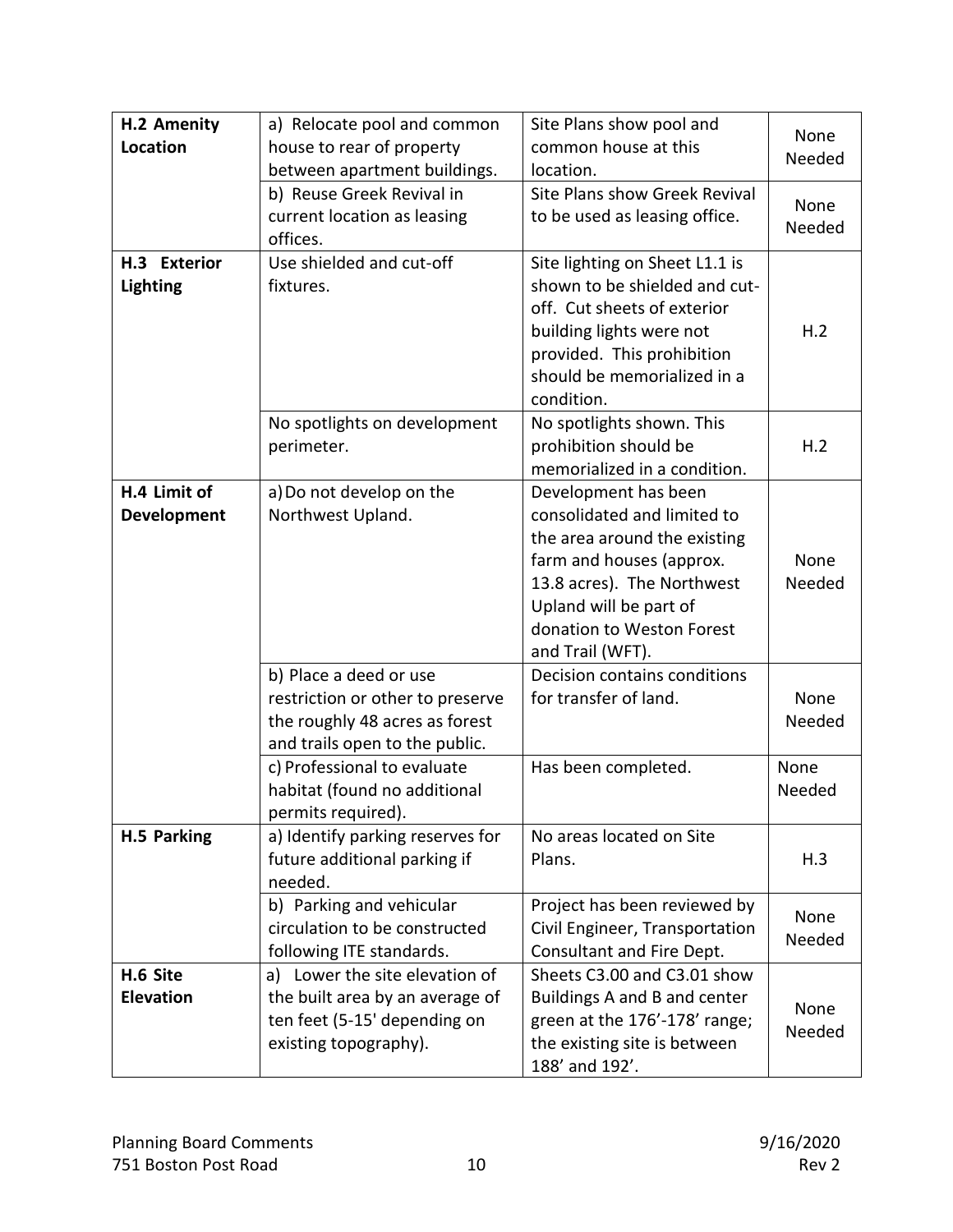| H.2 Amenity        | a) Relocate pool and common      | Site Plans show pool and       | None   |
|--------------------|----------------------------------|--------------------------------|--------|
| Location           | house to rear of property        | common house at this           | Needed |
|                    | between apartment buildings.     | location.                      |        |
|                    | b) Reuse Greek Revival in        | Site Plans show Greek Revival  | None   |
|                    | current location as leasing      | to be used as leasing office.  | Needed |
|                    | offices.                         |                                |        |
| H.3 Exterior       | Use shielded and cut-off         | Site lighting on Sheet L1.1 is |        |
| <b>Lighting</b>    | fixtures.                        | shown to be shielded and cut-  |        |
|                    |                                  | off. Cut sheets of exterior    |        |
|                    |                                  | building lights were not       | H.2    |
|                    |                                  | provided. This prohibition     |        |
|                    |                                  | should be memorialized in a    |        |
|                    |                                  | condition.                     |        |
|                    | No spotlights on development     | No spotlights shown. This      |        |
|                    | perimeter.                       | prohibition should be          | H.2    |
|                    |                                  | memorialized in a condition.   |        |
| H.4 Limit of       | a) Do not develop on the         | Development has been           |        |
| <b>Development</b> | Northwest Upland.                | consolidated and limited to    |        |
|                    |                                  | the area around the existing   |        |
|                    |                                  | farm and houses (approx.       | None   |
|                    |                                  | 13.8 acres). The Northwest     | Needed |
|                    |                                  | Upland will be part of         |        |
|                    |                                  | donation to Weston Forest      |        |
|                    |                                  | and Trail (WFT).               |        |
|                    | b) Place a deed or use           | Decision contains conditions   |        |
|                    | restriction or other to preserve | for transfer of land.          | None   |
|                    | the roughly 48 acres as forest   |                                | Needed |
|                    | and trails open to the public.   |                                |        |
|                    | c) Professional to evaluate      | Has been completed.            | None   |
|                    | habitat (found no additional     |                                | Needed |
|                    | permits required).               |                                |        |
| H.5 Parking        | a) Identify parking reserves for | No areas located on Site       |        |
|                    | future additional parking if     | Plans.                         | H.3    |
|                    | needed.                          |                                |        |
|                    | b) Parking and vehicular         | Project has been reviewed by   |        |
|                    | circulation to be constructed    | Civil Engineer, Transportation | None   |
|                    | following ITE standards.         | Consultant and Fire Dept.      | Needed |
| H.6 Site           | a) Lower the site elevation of   | Sheets C3.00 and C3.01 show    |        |
| <b>Elevation</b>   | the built area by an average of  | Buildings A and B and center   |        |
|                    | ten feet (5-15' depending on     | green at the 176'-178' range;  | None   |
|                    | existing topography).            | the existing site is between   | Needed |
|                    |                                  | 188' and 192'.                 |        |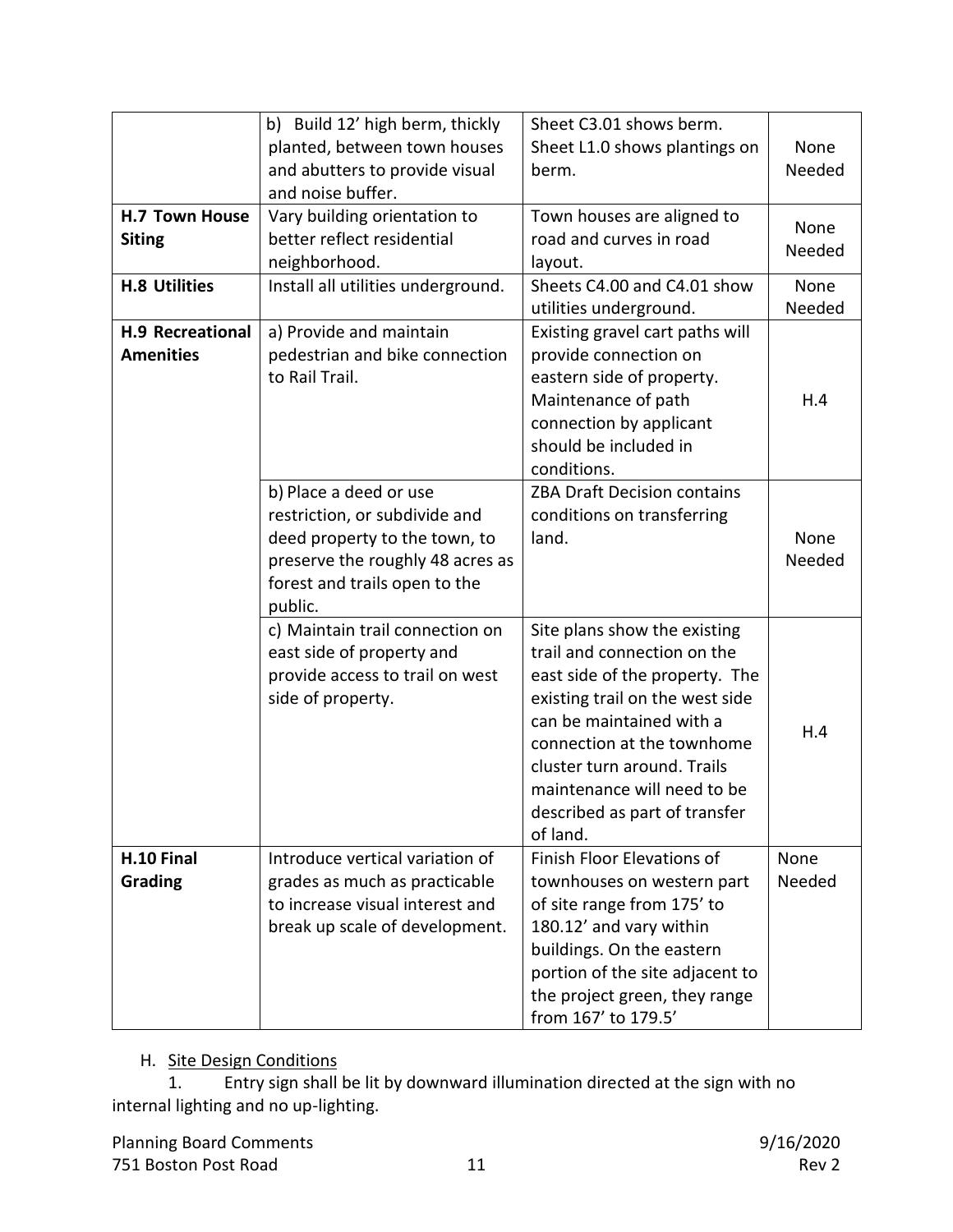|                         | b) Build 12' high berm, thickly          | Sheet C3.01 shows berm.                                     |        |
|-------------------------|------------------------------------------|-------------------------------------------------------------|--------|
|                         | planted, between town houses             | Sheet L1.0 shows plantings on                               | None   |
|                         | and abutters to provide visual           | berm.                                                       | Needed |
|                         | and noise buffer.                        |                                                             |        |
| <b>H.7 Town House</b>   | Vary building orientation to             | Town houses are aligned to                                  |        |
| <b>Siting</b>           | better reflect residential               | road and curves in road                                     | None   |
|                         | neighborhood.                            | layout.                                                     | Needed |
| <b>H.8 Utilities</b>    | Install all utilities underground.       | Sheets C4.00 and C4.01 show                                 | None   |
|                         |                                          | utilities underground.                                      | Needed |
| <b>H.9 Recreational</b> | a) Provide and maintain                  | Existing gravel cart paths will                             |        |
| <b>Amenities</b>        | pedestrian and bike connection           | provide connection on                                       |        |
|                         | to Rail Trail.                           | eastern side of property.                                   |        |
|                         |                                          | Maintenance of path                                         | H.4    |
|                         |                                          | connection by applicant                                     |        |
|                         |                                          | should be included in                                       |        |
|                         |                                          | conditions.                                                 |        |
|                         | b) Place a deed or use                   | <b>ZBA Draft Decision contains</b>                          |        |
|                         | restriction, or subdivide and            | conditions on transferring                                  |        |
|                         | deed property to the town, to            | land.                                                       | None   |
|                         | preserve the roughly 48 acres as         |                                                             | Needed |
|                         |                                          |                                                             |        |
|                         | forest and trails open to the<br>public. |                                                             |        |
|                         |                                          |                                                             |        |
|                         | c) Maintain trail connection on          | Site plans show the existing<br>trail and connection on the |        |
|                         | east side of property and                |                                                             |        |
|                         | provide access to trail on west          | east side of the property. The                              |        |
|                         | side of property.                        | existing trail on the west side                             |        |
|                         |                                          | can be maintained with a                                    | H.4    |
|                         |                                          | connection at the townhome                                  |        |
|                         |                                          | cluster turn around. Trails                                 |        |
|                         |                                          | maintenance will need to be                                 |        |
|                         |                                          | described as part of transfer                               |        |
|                         |                                          | of land.                                                    |        |
| H.10 Final              | Introduce vertical variation of          | <b>Finish Floor Elevations of</b>                           | None   |
| Grading                 | grades as much as practicable            | townhouses on western part                                  | Needed |
|                         | to increase visual interest and          | of site range from 175' to                                  |        |
|                         | break up scale of development.           | 180.12' and vary within                                     |        |
|                         |                                          | buildings. On the eastern                                   |        |
|                         |                                          | portion of the site adjacent to                             |        |
|                         |                                          | the project green, they range                               |        |
|                         |                                          | from 167' to 179.5'                                         |        |

# H. Site Design Conditions<br>1. Entry sign shall

Entry sign shall be lit by downward illumination directed at the sign with no internal lighting and no up-lighting.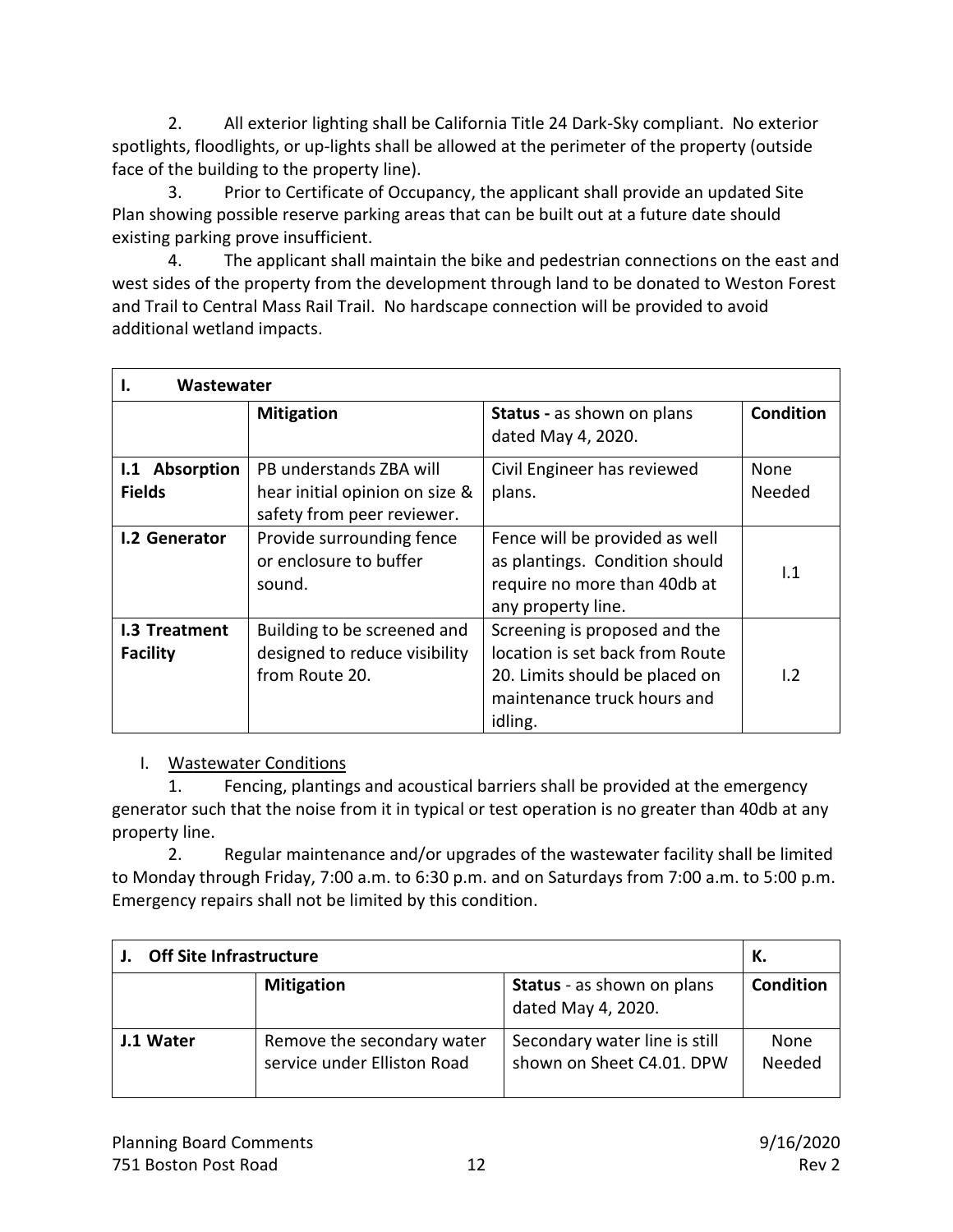2. All exterior lighting shall be California Title 24 Dark-Sky compliant. No exterior spotlights, floodlights, or up-lights shall be allowed at the perimeter of the property (outside face of the building to the property line).

3. Prior to Certificate of Occupancy, the applicant shall provide an updated Site Plan showing possible reserve parking areas that can be built out at a future date should existing parking prove insufficient.

4. The applicant shall maintain the bike and pedestrian connections on the east and west sides of the property from the development through land to be donated to Weston Forest and Trail to Central Mass Rail Trail. No hardscape connection will be provided to avoid additional wetland impacts.

| Wastewater<br>ь.                 |                                                                                         |                                                                                                                                              |                  |
|----------------------------------|-----------------------------------------------------------------------------------------|----------------------------------------------------------------------------------------------------------------------------------------------|------------------|
|                                  | <b>Mitigation</b>                                                                       | <b>Status</b> - as shown on plans<br>dated May 4, 2020.                                                                                      | <b>Condition</b> |
| I.1 Absorption<br><b>Fields</b>  | PB understands ZBA will<br>hear initial opinion on size &<br>safety from peer reviewer. | Civil Engineer has reviewed<br>plans.                                                                                                        | None<br>Needed   |
| <b>I.2 Generator</b>             | Provide surrounding fence<br>or enclosure to buffer<br>sound.                           | Fence will be provided as well<br>as plantings. Condition should<br>require no more than 40db at<br>any property line.                       | 1.1              |
| 1.3 Treatment<br><b>Facility</b> | Building to be screened and<br>designed to reduce visibility<br>from Route 20.          | Screening is proposed and the<br>location is set back from Route<br>20. Limits should be placed on<br>maintenance truck hours and<br>idling. | 1.2              |

#### I. Wastewater Conditions

1. Fencing, plantings and acoustical barriers shall be provided at the emergency generator such that the noise from it in typical or test operation is no greater than 40db at any property line.

2. Regular maintenance and/or upgrades of the wastewater facility shall be limited to Monday through Friday, 7:00 a.m. to 6:30 p.m. and on Saturdays from 7:00 a.m. to 5:00 p.m. Emergency repairs shall not be limited by this condition.

| <b>Off Site Infrastructure</b> |                                                           | К.                                                         |                  |
|--------------------------------|-----------------------------------------------------------|------------------------------------------------------------|------------------|
|                                | <b>Mitigation</b>                                         | <b>Status</b> - as shown on plans<br>dated May 4, 2020.    | <b>Condition</b> |
| J.1 Water                      | Remove the secondary water<br>service under Elliston Road | Secondary water line is still<br>shown on Sheet C4.01. DPW | None<br>Needed   |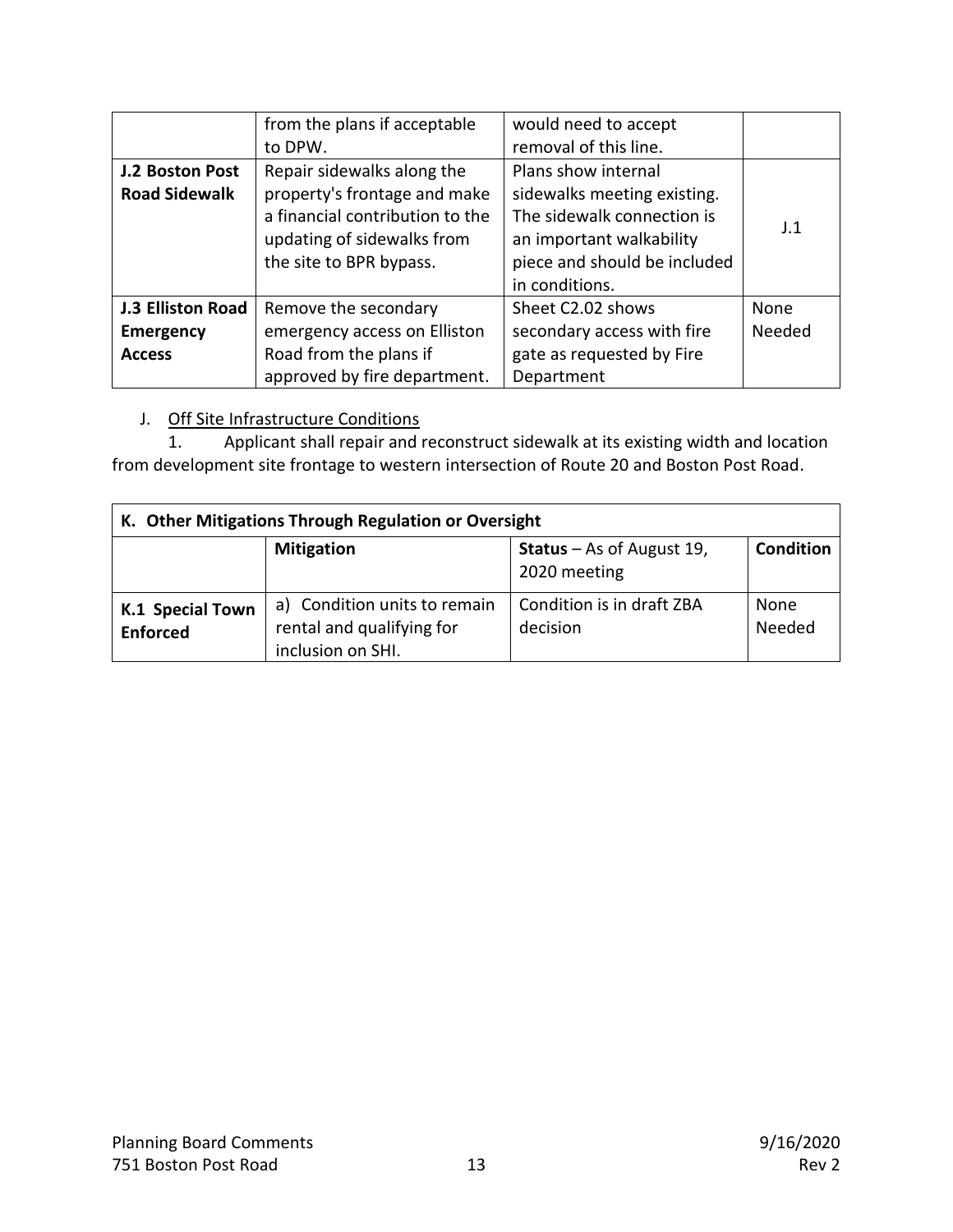|                          | from the plans if acceptable    | would need to accept         |        |
|--------------------------|---------------------------------|------------------------------|--------|
|                          | to DPW.                         | removal of this line.        |        |
| J.2 Boston Post          | Repair sidewalks along the      | Plans show internal          |        |
| <b>Road Sidewalk</b>     | property's frontage and make    | sidewalks meeting existing.  |        |
|                          | a financial contribution to the | The sidewalk connection is   |        |
|                          | updating of sidewalks from      | an important walkability     | J.1    |
|                          | the site to BPR bypass.         | piece and should be included |        |
|                          |                                 | in conditions.               |        |
| <b>J.3 Elliston Road</b> | Remove the secondary            | Sheet C2.02 shows            | None   |
| <b>Emergency</b>         | emergency access on Elliston    | secondary access with fire   | Needed |
| <b>Access</b>            | Road from the plans if          | gate as requested by Fire    |        |
|                          | approved by fire department.    | Department                   |        |

#### J. Off Site Infrastructure Conditions

1. Applicant shall repair and reconstruct sidewalk at its existing width and location from development site frontage to western intersection of Route 20 and Boston Post Road.

| K. Other Mitigations Through Regulation or Oversight |                                                                                |                                                  |                  |
|------------------------------------------------------|--------------------------------------------------------------------------------|--------------------------------------------------|------------------|
|                                                      | <b>Mitigation</b>                                                              | <b>Status</b> – As of August 19,<br>2020 meeting | <b>Condition</b> |
| K.1 Special Town<br><b>Enforced</b>                  | a) Condition units to remain<br>rental and qualifying for<br>inclusion on SHI. | Condition is in draft ZBA<br>decision            | None<br>Needed   |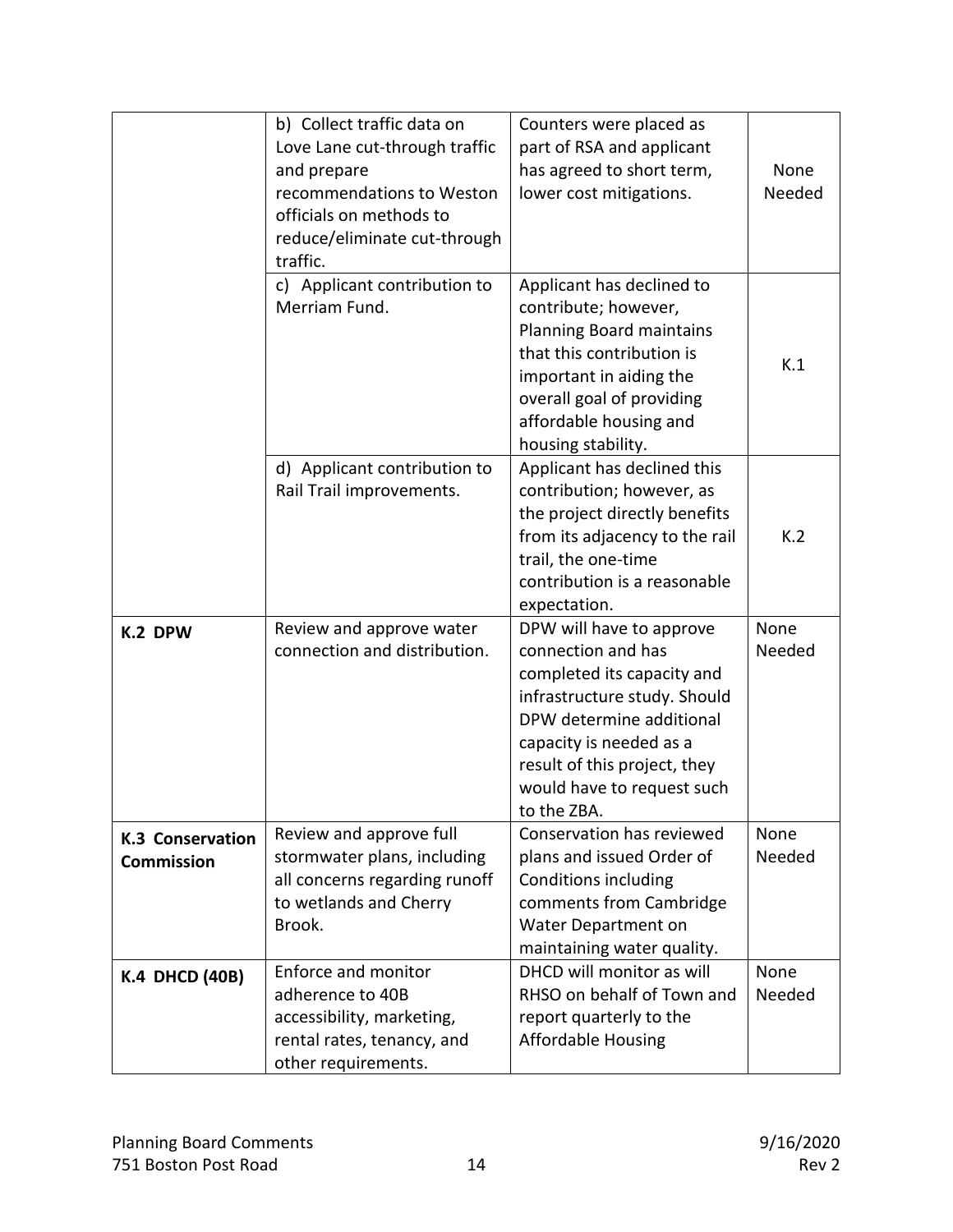|                                              | b) Collect traffic data on<br>Love Lane cut-through traffic<br>and prepare<br>recommendations to Weston<br>officials on methods to<br>reduce/eliminate cut-through<br>traffic. | Counters were placed as<br>part of RSA and applicant<br>has agreed to short term,<br>lower cost mitigations.                                                                                                                                     | None<br>Needed |
|----------------------------------------------|--------------------------------------------------------------------------------------------------------------------------------------------------------------------------------|--------------------------------------------------------------------------------------------------------------------------------------------------------------------------------------------------------------------------------------------------|----------------|
|                                              | c) Applicant contribution to<br>Merriam Fund.                                                                                                                                  | Applicant has declined to<br>contribute; however,<br>Planning Board maintains<br>that this contribution is<br>important in aiding the<br>overall goal of providing<br>affordable housing and<br>housing stability.                               | K.1            |
|                                              | d) Applicant contribution to<br>Rail Trail improvements.                                                                                                                       | Applicant has declined this<br>contribution; however, as<br>the project directly benefits<br>from its adjacency to the rail<br>trail, the one-time<br>contribution is a reasonable<br>expectation.                                               | K.2            |
| K.2 DPW                                      | Review and approve water<br>connection and distribution.                                                                                                                       | DPW will have to approve<br>connection and has<br>completed its capacity and<br>infrastructure study. Should<br>DPW determine additional<br>capacity is needed as a<br>result of this project, they<br>would have to request such<br>to the ZBA. | None<br>Needed |
| <b>K.3 Conservation</b><br><b>Commission</b> | Review and approve full<br>stormwater plans, including<br>all concerns regarding runoff<br>to wetlands and Cherry<br>Brook.                                                    | Conservation has reviewed<br>plans and issued Order of<br><b>Conditions including</b><br>comments from Cambridge<br>Water Department on<br>maintaining water quality.                                                                            | None<br>Needed |
| <b>K.4 DHCD (40B)</b>                        | Enforce and monitor<br>adherence to 40B<br>accessibility, marketing,<br>rental rates, tenancy, and<br>other requirements.                                                      | DHCD will monitor as will<br>RHSO on behalf of Town and<br>report quarterly to the<br><b>Affordable Housing</b>                                                                                                                                  | None<br>Needed |